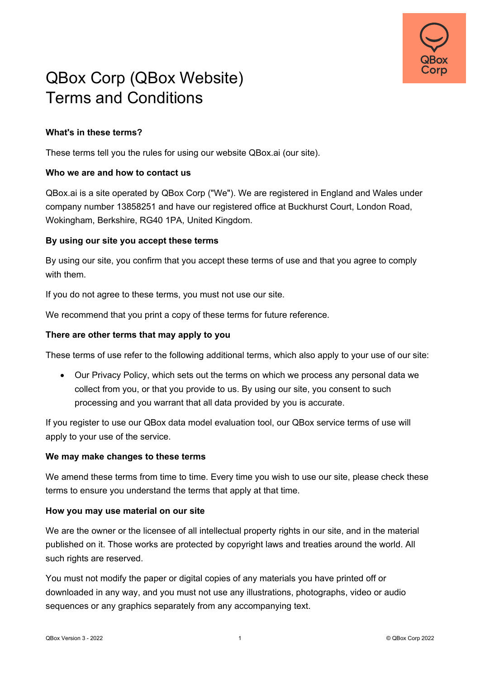

# QBox Corp (QBox Website) Terms and Conditions

## **What's in these terms?**

These terms tell you the rules for using our website QBox.ai (our site).

## **Who we are and how to contact us**

QBox.ai is a site operated by QBox Corp ("We"). We are registered in England and Wales under company number 13858251 and have our registered office at Buckhurst Court, London Road, Wokingham, Berkshire, RG40 1PA, United Kingdom.

## **By using our site you accept these terms**

By using our site, you confirm that you accept these terms of use and that you agree to comply with them.

If you do not agree to these terms, you must not use our site.

We recommend that you print a copy of these terms for future reference.

## **There are other terms that may apply to you**

These terms of use refer to the following additional terms, which also apply to your use of our site:

• Our Privacy Policy, which sets out the terms on which we process any personal data we collect from you, or that you provide to us. By using our site, you consent to such processing and you warrant that all data provided by you is accurate.

If you register to use our QBox data model evaluation tool, our QBox service terms of use will apply to your use of the service.

## **We may make changes to these terms**

We amend these terms from time to time. Every time you wish to use our site, please check these terms to ensure you understand the terms that apply at that time.

## **How you may use material on our site**

We are the owner or the licensee of all intellectual property rights in our site, and in the material published on it. Those works are protected by copyright laws and treaties around the world. All such rights are reserved.

You must not modify the paper or digital copies of any materials you have printed off or downloaded in any way, and you must not use any illustrations, photographs, video or audio sequences or any graphics separately from any accompanying text.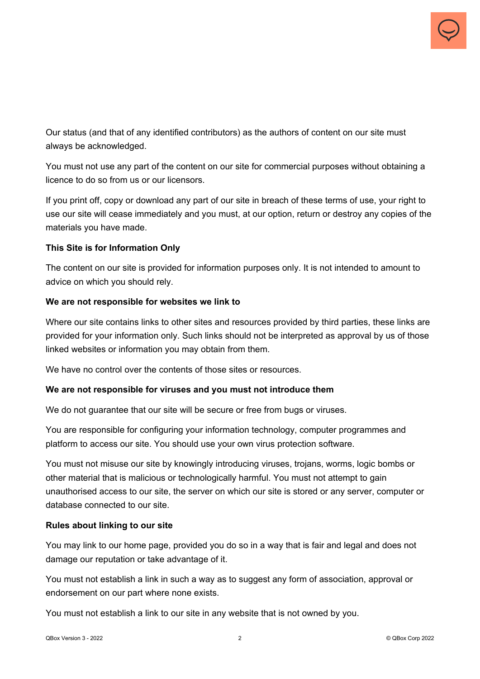

Our status (and that of any identified contributors) as the authors of content on our site must always be acknowledged.

You must not use any part of the content on our site for commercial purposes without obtaining a licence to do so from us or our licensors.

If you print off, copy or download any part of our site in breach of these terms of use, your right to use our site will cease immediately and you must, at our option, return or destroy any copies of the materials you have made.

## **This Site is for Information Only**

The content on our site is provided for information purposes only. It is not intended to amount to advice on which you should rely.

## **We are not responsible for websites we link to**

Where our site contains links to other sites and resources provided by third parties, these links are provided for your information only. Such links should not be interpreted as approval by us of those linked websites or information you may obtain from them.

We have no control over the contents of those sites or resources.

## **We are not responsible for viruses and you must not introduce them**

We do not guarantee that our site will be secure or free from bugs or viruses.

You are responsible for configuring your information technology, computer programmes and platform to access our site. You should use your own virus protection software.

You must not misuse our site by knowingly introducing viruses, trojans, worms, logic bombs or other material that is malicious or technologically harmful. You must not attempt to gain unauthorised access to our site, the server on which our site is stored or any server, computer or database connected to our site.

## **Rules about linking to our site**

You may link to our home page, provided you do so in a way that is fair and legal and does not damage our reputation or take advantage of it.

You must not establish a link in such a way as to suggest any form of association, approval or endorsement on our part where none exists.

You must not establish a link to our site in any website that is not owned by you.